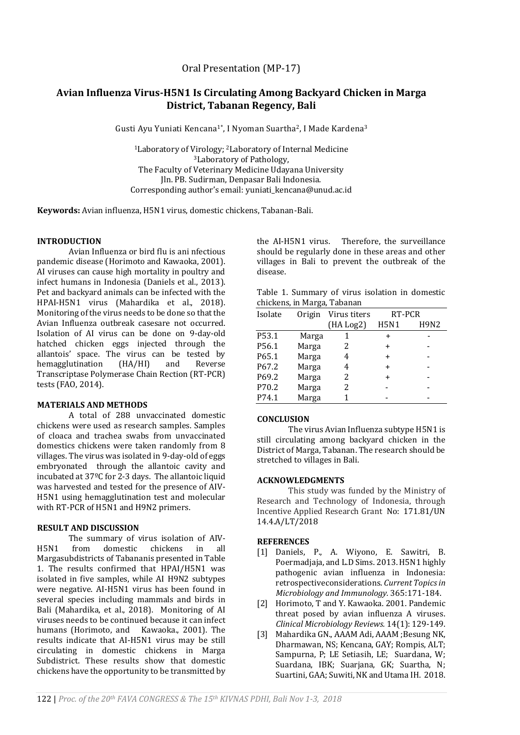Oral Presentation (MP-17)

# **Avian Influenza Virus-H5N1 Is Circulating Among Backyard Chicken in Marga District, Tabanan Regency, Bali**

Gusti Ayu Yuniati Kencana<sup>1</sup>\*, I Nyoman Suartha<sup>2</sup>, I Made Kardena<sup>3</sup>

<sup>1</sup>Laboratory of Virology; <sup>2</sup>Laboratory of Internal Medicine <sup>3</sup>Laboratory of Pathology, The Faculty of Veterinary Medicine Udayana University Jln. PB. Sudirman, Denpasar Bali Indonesia. Corresponding author's email: yuniati\_kencana@unud.ac.id

**Keywords:** Avian influenza, H5N1 virus, domestic chickens, Tabanan-Bali.

#### **INTRODUCTION**

Avian Influenza or bird flu is ani nfectious pandemic disease (Horimoto and Kawaoka, 2001). AI viruses can cause high mortality in poultry and infect humans in Indonesia (Daniels et al., 2013). Pet and backyard animals can be infected with the HPAI-H5N1 virus (Mahardika et al., 2018). Monitoring of the virus needs to be done so that the Avian Influenza outbreak casesare not occurred. Isolation of AI virus can be done on 9-day-old hatched chicken eggs injected through the allantois' space. The virus can be tested by hemagglutination (HA/HI) and Reverse Transcriptase Polymerase Chain Rection (RT-PCR) tests (FAO, 2014).

#### **MATERIALS AND METHODS**

A total of 288 unvaccinated domestic chickens were used as research samples. Samples of cloaca and trachea swabs from unvaccinated domestics chickens were taken randomly from 8 villages. The virus was isolated in 9-day-old of eggs embryonated through the allantoic cavity and incubated at 37ºC for 2-3 days. The allantoic liquid was harvested and tested for the presence of AIV-H5N1 using hemagglutination test and molecular with RT-PCR of H5N1 and H9N2 primers.

## **RESULT AND DISCUSSION**

The summary of virus isolation of AIV-H5N1 from domestic chickens in all Margasubdistricts of Tabananis presented in Table 1. The results confirmed that HPAI/H5N1 was isolated in five samples, while AI H9N2 subtypes were negative. AI-H5N1 virus has been found in several species including mammals and birds in Bali (Mahardika, et al., 2018). Monitoring of AI viruses needs to be continued because it can infect humans (Horimoto, and Kawaoka., 2001). The results indicate that AI-H5N1 virus may be still circulating in domestic chickens in Marga Subdistrict. These results show that domestic chickens have the opportunity to be transmitted by the AI-H5N1 virus. Therefore, the surveillance should be regularly done in these areas and other villages in Bali to prevent the outbreak of the disease.

Table 1. Summary of virus isolation in domestic chickens, in Marga, Tabanan

| chickch3, in marga, rabanan |        |              |             |      |
|-----------------------------|--------|--------------|-------------|------|
| Isolate                     | Origin | Virus titers | RT-PCR      |      |
|                             |        | (HA Log2)    | <b>H5N1</b> | H9N2 |
| P53.1                       | Marga  |              | $\ddot{}$   |      |
| P56.1                       | Marga  | 2            | +           |      |
| P65.1                       | Marga  | 4            | $\ddot{}$   |      |
| P <sub>67.2</sub>           | Marga  | 4            | $\ddot{}$   |      |
| P69.2                       | Marga  | 2            | +           |      |
| P70.2                       | Marga  | 2            |             |      |
| P74.1                       | Marga  |              |             |      |
|                             |        |              |             |      |

#### **CONCLUSION**

The virus Avian Influenza subtype H5N1 is still circulating among backyard chicken in the District of Marga, Tabanan. The research should be stretched to villages in Bali.

## **ACKNOWLEDGMENTS**

This study was funded by the Ministry of Research and Technology of Indonesia, through Incentive Applied Research Grant No: 171.81/UN 14.4.A/LT/2018

## **REFERENCES**

- [1] Daniels, P., A. Wiyono, E. Sawitri, B. Poermadjaja, and L.D Sims. 2013. H5N1 highly pathogenic avian influenza in Indonesia: retrospectiveconsiderations. *Current Topics in Microbiology and Immunology.* 365:171-184.
- [2] Horimoto, T and Y. Kawaoka. 2001. Pandemic threat posed by avian influenza A viruses. *Clinical Microbiology Reviews.* 14(1): 129-149.
- [3] Mahardika GN., AAAM Adi, AAAM ;Besung NK, Dharmawan, NS; Kencana, GAY; Rompis, ALT; Sampurna, P; LE Setiasih, LE; Suardana, W; Suardana, IBK; Suarjana, GK; Suartha, N; Suartini, GAA; Suwiti, NK and Utama IH. 2018.